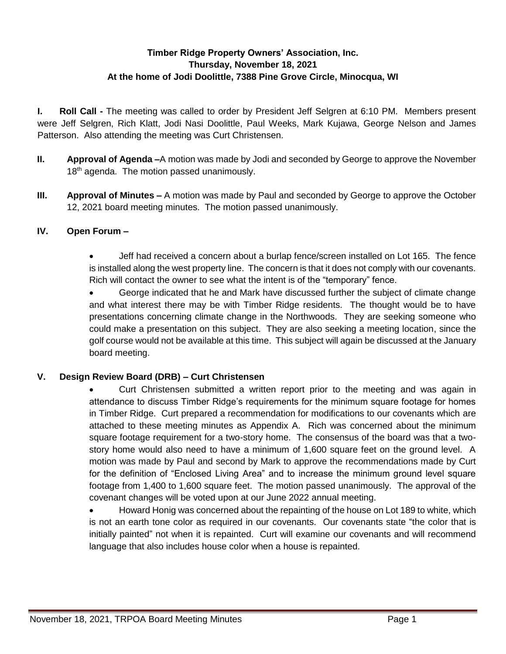## **Timber Ridge Property Owners' Association, Inc. Thursday, November 18, 2021 At the home of Jodi Doolittle, 7388 Pine Grove Circle, Minocqua, WI**

**I. Roll Call -** The meeting was called to order by President Jeff Selgren at 6:10 PM. Members present were Jeff Selgren, Rich Klatt, Jodi Nasi Doolittle, Paul Weeks, Mark Kujawa, George Nelson and James Patterson. Also attending the meeting was Curt Christensen.

- **II. Approval of Agenda –**A motion was made by Jodi and seconded by George to approve the November 18<sup>th</sup> agenda. The motion passed unanimously.
- **III. Approval of Minutes –** A motion was made by Paul and seconded by George to approve the October 12, 2021 board meeting minutes. The motion passed unanimously.

### **IV. Open Forum –**

 Jeff had received a concern about a burlap fence/screen installed on Lot 165. The fence is installed along the west property line. The concern is that it does not comply with our covenants. Rich will contact the owner to see what the intent is of the "temporary" fence.

 George indicated that he and Mark have discussed further the subject of climate change and what interest there may be with Timber Ridge residents. The thought would be to have presentations concerning climate change in the Northwoods. They are seeking someone who could make a presentation on this subject. They are also seeking a meeting location, since the golf course would not be available at this time. This subject will again be discussed at the January board meeting.

#### **V. Design Review Board (DRB) – Curt Christensen**

 Curt Christensen submitted a written report prior to the meeting and was again in attendance to discuss Timber Ridge's requirements for the minimum square footage for homes in Timber Ridge. Curt prepared a recommendation for modifications to our covenants which are attached to these meeting minutes as Appendix A. Rich was concerned about the minimum square footage requirement for a two-story home. The consensus of the board was that a twostory home would also need to have a minimum of 1,600 square feet on the ground level. A motion was made by Paul and second by Mark to approve the recommendations made by Curt for the definition of "Enclosed Living Area" and to increase the minimum ground level square footage from 1,400 to 1,600 square feet. The motion passed unanimously. The approval of the covenant changes will be voted upon at our June 2022 annual meeting.

• Howard Honig was concerned about the repainting of the house on Lot 189 to white, which is not an earth tone color as required in our covenants. Our covenants state "the color that is initially painted" not when it is repainted. Curt will examine our covenants and will recommend language that also includes house color when a house is repainted.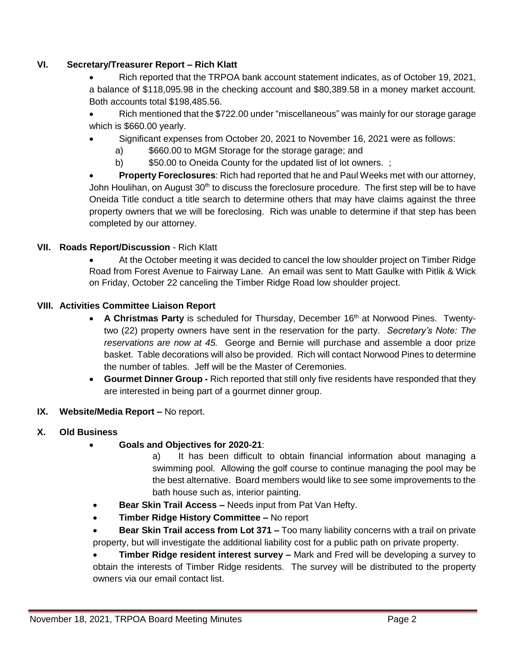#### **VI. Secretary/Treasurer Report – Rich Klatt**

- Rich reported that the TRPOA bank account statement indicates, as of October 19, 2021, a balance of \$118,095.98 in the checking account and \$80,389.58 in a money market account. Both accounts total \$198,485.56.
- Rich mentioned that the \$722.00 under "miscellaneous" was mainly for our storage garage which is \$660.00 yearly.
- Significant expenses from October 20, 2021 to November 16, 2021 were as follows:
	- a) \$660.00 to MGM Storage for the storage garage; and
	- b) \$50.00 to Oneida County for the updated list of lot owners. ;

 **Property Foreclosures**: Rich had reported that he and Paul Weeks met with our attorney, John Houlihan, on August 30<sup>th</sup> to discuss the foreclosure procedure. The first step will be to have Oneida Title conduct a title search to determine others that may have claims against the three property owners that we will be foreclosing. Rich was unable to determine if that step has been completed by our attorney.

#### **VII. Roads Report/Discussion** - Rich Klatt

 At the October meeting it was decided to cancel the low shoulder project on Timber Ridge Road from Forest Avenue to Fairway Lane. An email was sent to Matt Gaulke with Pitlik & Wick on Friday, October 22 canceling the Timber Ridge Road low shoulder project.

#### **VIII. Activities Committee Liaison Report**

- A Christmas Party is scheduled for Thursday, December 16<sup>th</sup> at Norwood Pines. Twentytwo (22) property owners have sent in the reservation for the party. *Secretary's Note: The reservations are now at 45.* George and Bernie will purchase and assemble a door prize basket. Table decorations will also be provided. Rich will contact Norwood Pines to determine the number of tables. Jeff will be the Master of Ceremonies.
- **Gourmet Dinner Group -** Rich reported that still only five residents have responded that they are interested in being part of a gourmet dinner group.

#### **IX. Website/Media Report –** No report.

#### **X. Old Business**

- **Goals and Objectives for 2020-21**:
	- a) It has been difficult to obtain financial information about managing a swimming pool. Allowing the golf course to continue managing the pool may be the best alternative. Board members would like to see some improvements to the bath house such as, interior painting.
- **Bear Skin Trail Access –** Needs input from Pat Van Hefty.
- **Timber Ridge History Committee –** No report
- **Bear Skin Trail access from Lot 371 –** Too many liability concerns with a trail on private property, but will investigate the additional liability cost for a public path on private property.

 **Timber Ridge resident interest survey –** Mark and Fred will be developing a survey to obtain the interests of Timber Ridge residents. The survey will be distributed to the property owners via our email contact list.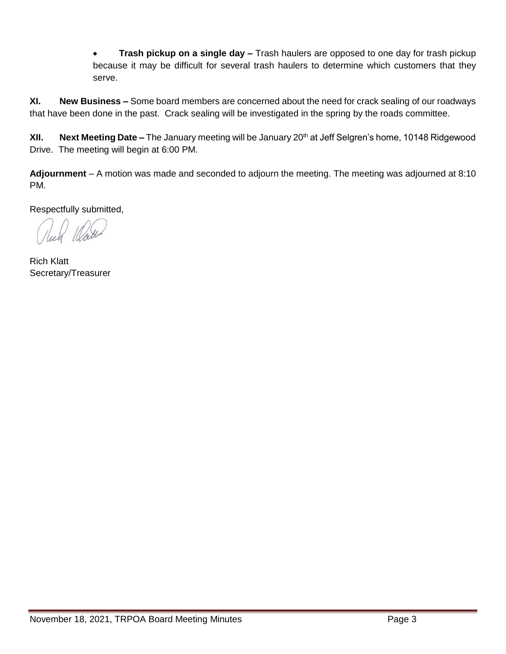**Trash pickup on a single day –** Trash haulers are opposed to one day for trash pickup because it may be difficult for several trash haulers to determine which customers that they serve.

**XI. New Business –** Some board members are concerned about the need for crack sealing of our roadways that have been done in the past. Crack sealing will be investigated in the spring by the roads committee.

**XII.** Next Meeting Date – The January meeting will be January 20<sup>th</sup> at Jeff Selgren's home, 10148 Ridgewood Drive. The meeting will begin at 6:00 PM.

**Adjournment** – A motion was made and seconded to adjourn the meeting. The meeting was adjourned at 8:10 PM.

Respectfully submitted,

Rich Klatt Secretary/Treasurer